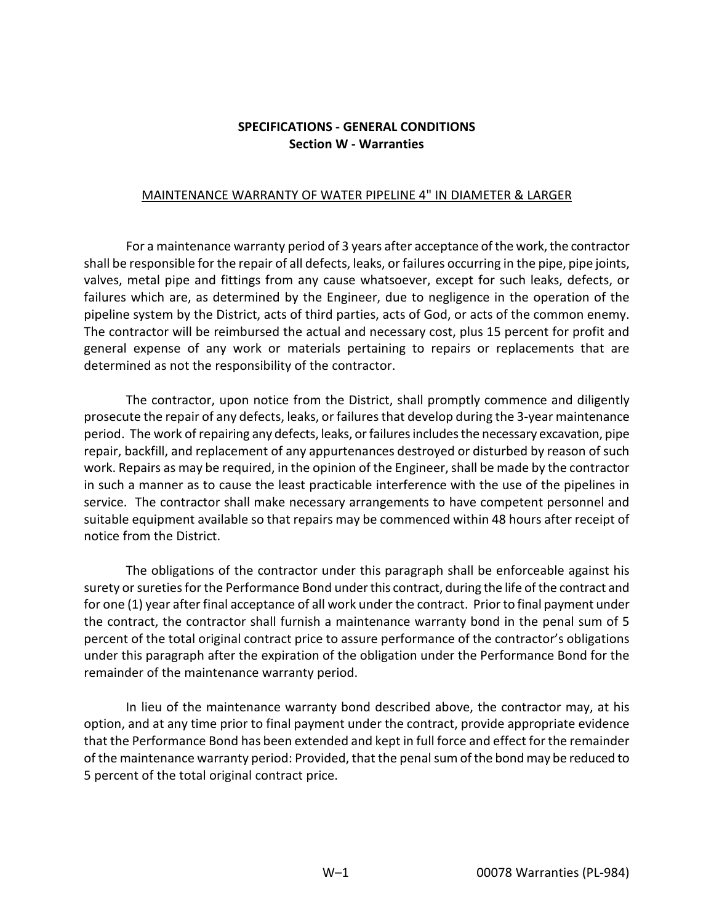## **SPECIFICATIONS - GENERAL CONDITIONS Section W - Warranties**

## MAINTENANCE WARRANTY OF WATER PIPELINE 4" IN DIAMETER & LARGER

For a maintenance warranty period of 3 years after acceptance of the work, the contractor shall be responsible for the repair of all defects, leaks, or failures occurring in the pipe, pipe joints, valves, metal pipe and fittings from any cause whatsoever, except for such leaks, defects, or failures which are, as determined by the Engineer, due to negligence in the operation of the pipeline system by the District, acts of third parties, acts of God, or acts of the common enemy. The contractor will be reimbursed the actual and necessary cost, plus 15 percent for profit and general expense of any work or materials pertaining to repairs or replacements that are determined as not the responsibility of the contractor.

The contractor, upon notice from the District, shall promptly commence and diligently prosecute the repair of any defects, leaks, or failures that develop during the 3-year maintenance period. The work of repairing any defects, leaks, or failures includes the necessary excavation, pipe repair, backfill, and replacement of any appurtenances destroyed or disturbed by reason of such work. Repairs as may be required, in the opinion of the Engineer, shall be made by the contractor in such a manner as to cause the least practicable interference with the use of the pipelines in service. The contractor shall make necessary arrangements to have competent personnel and suitable equipment available so that repairs may be commenced within 48 hours after receipt of notice from the District.

The obligations of the contractor under this paragraph shall be enforceable against his surety or sureties for the Performance Bond under this contract, during the life of the contract and for one (1) year after final acceptance of all work under the contract. Prior to final payment under the contract, the contractor shall furnish a maintenance warranty bond in the penal sum of 5 percent of the total original contract price to assure performance of the contractor's obligations under this paragraph after the expiration of the obligation under the Performance Bond for the remainder of the maintenance warranty period.

In lieu of the maintenance warranty bond described above, the contractor may, at his option, and at any time prior to final payment under the contract, provide appropriate evidence that the Performance Bond has been extended and kept in full force and effect for the remainder of the maintenance warranty period: Provided, that the penal sum of the bond may be reduced to 5 percent of the total original contract price.